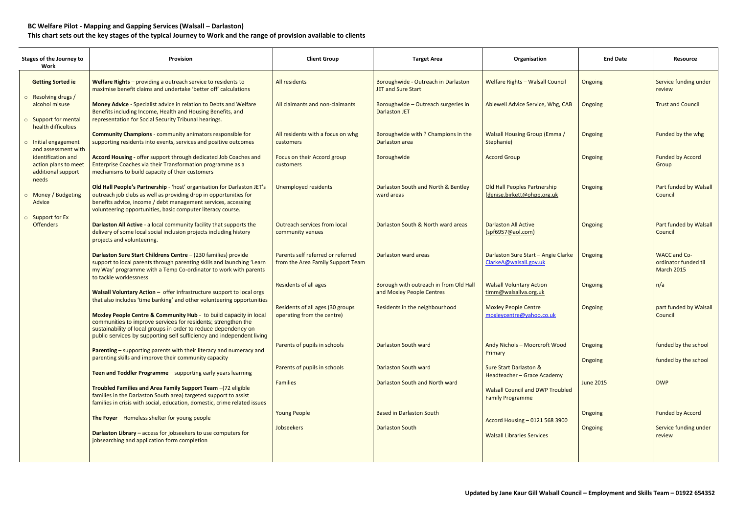## **BC Welfare Pilot - Mapping and Gapping Services (Walsall – Darlaston) This chart sets out the key stages of the typical Journey to Work and the range of provision available to clients**

| <b>Stages of the Journey to</b><br>Work                                                 | Provision                                                                                                                                                                                                                                                                      | <b>Client Group</b>                                                    | <b>Target Area</b>                                                  | Organisation                                                       | <b>End Date</b>           | <b>Resource</b>                                           |
|-----------------------------------------------------------------------------------------|--------------------------------------------------------------------------------------------------------------------------------------------------------------------------------------------------------------------------------------------------------------------------------|------------------------------------------------------------------------|---------------------------------------------------------------------|--------------------------------------------------------------------|---------------------------|-----------------------------------------------------------|
| <b>Getting Sorted ie</b>                                                                | Welfare Rights - providing a outreach service to residents to<br>maximise benefit claims and undertake 'better off' calculations                                                                                                                                               | All residents                                                          | Boroughwide - Outreach in Darlaston<br><b>JET and Sure Start</b>    | <b>Welfare Rights - Walsall Council</b>                            | Ongoing                   | Service funding under<br>review                           |
| o Resolving drugs /<br>alcohol misuse<br>o Support for mental                           | Money Advice - Specialist advice in relation to Debts and Welfare<br>Benefits including Income, Health and Housing Benefits, and<br>representation for Social Security Tribunal hearings.                                                                                      | All claimants and non-claimants                                        | Boroughwide - Outreach surgeries in<br><b>Darlaston JET</b>         | Ablewell Advice Service, Whg, CAB                                  | Ongoing                   | <b>Trust and Council</b>                                  |
| health difficulties<br>o Initial engagement                                             | <b>Community Champions - community animators responsible for</b><br>supporting residents into events, services and positive outcomes                                                                                                                                           | All residents with a focus on whg<br>customers                         | Boroughwide with ? Champions in the<br>Darlaston area               | <b>Walsall Housing Group (Emma /</b><br>Stephanie)                 | <b>Ongoing</b>            | Funded by the whg                                         |
| and assessment with<br>identification and<br>action plans to meet<br>additional support | Accord Housing - offer support through dedicated Job Coaches and<br>Enterprise Coaches via their Transformation programme as a<br>mechanisms to build capacity of their customers                                                                                              | Focus on their Accord group<br><b>customers</b>                        | Boroughwide                                                         | <b>Accord Group</b>                                                | Ongoing                   | <b>Funded by Accord</b><br>Group                          |
| needs<br>o Money / Budgeting<br>Advice                                                  | Old Hall People's Partnership - 'host' organisation for Darlaston JET's<br>outreach job clubs as well as providing drop in opportunities for<br>benefits advice, income / debt management services, accessing<br>volunteering opportunities, basic computer literacy course.   | <b>Unemployed residents</b>                                            | Darlaston South and North & Bentley<br>ward areas                   | Old Hall Peoples Partnership<br>(denise.birkett@ohpp.org.uk        | Ongoing                   | Part funded by Walsall<br>Council                         |
| o Support for Ex<br><b>Offenders</b>                                                    | Darlaston All Active - a local community facility that supports the<br>delivery of some local social inclusion projects including history<br>projects and volunteering.                                                                                                        | Outreach services from local<br>community venues                       | Darlaston South & North ward areas                                  | <b>Darlaston All Active</b><br>(spf6957@aol.com)                   | Ongoing                   | Part funded by Walsall<br>Council                         |
|                                                                                         | Darlaston Sure Start Childrens Centre - (230 families) provide<br>support to local parents through parenting skills and launching 'Learn<br>my Way' programme with a Temp Co-ordinator to work with parents<br>to tackle worklessness                                          | Parents self referred or referred<br>from the Area Family Support Team | Darlaston ward areas                                                | Darlaston Sure Start - Angie Clarke<br>ClarkeA@walsall.gov.uk      | <b>Ongoing</b>            | WACC and Co-<br>ordinator funded til<br><b>March 2015</b> |
|                                                                                         | Walsall Voluntary Action - offer infrastructure support to local orgs<br>that also includes 'time banking' and other volunteering opportunities                                                                                                                                | <b>Residents of all ages</b>                                           | Borough with outreach in from Old Hall<br>and Moxley People Centres | <b>Walsall Voluntary Action</b><br>timm@walsallva.org.uk           | Ongoing                   | n/a                                                       |
|                                                                                         | Moxley People Centre & Community Hub - to build capacity in local<br>communities to improve services for residents; strengthen the<br>sustainability of local groups in order to reduce dependency on<br>public services by supporting self sufficiency and independent living | Residents of all ages (30 groups<br>operating from the centre)         | Residents in the neighbourhood                                      | <b>Moxley People Centre</b><br>moxleycentre@yahoo.co.uk            | Ongoing                   | part funded by Walsall<br>Council                         |
|                                                                                         | Parenting - supporting parents with their literacy and numeracy and<br>parenting skills and improve their community capacity                                                                                                                                                   | Parents of pupils in schools                                           | Darlaston South ward                                                | Andy Nichols - Moorcroft Wood<br>Primary                           | <b>Ongoing</b><br>Ongoing | funded by the school<br>funded by the school              |
|                                                                                         | Teen and Toddler Programme - supporting early years learning                                                                                                                                                                                                                   | Parents of pupils in schools                                           | Darlaston South ward                                                | <b>Sure Start Darlaston &amp;</b><br>Headteacher - Grace Academy   |                           |                                                           |
|                                                                                         | Troubled Families and Area Family Support Team -(72 eligible<br>families in the Darlaston South area) targeted support to assist<br>families in crisis with social, education, domestic, crime related issues                                                                  | <b>Families</b>                                                        | Darlaston South and North ward                                      | <b>Walsall Council and DWP Troubled</b><br><b>Family Programme</b> | <b>June 2015</b>          | <b>DWP</b>                                                |
|                                                                                         | The Foyer - Homeless shelter for young people                                                                                                                                                                                                                                  | <b>Young People</b>                                                    | <b>Based in Darlaston South</b>                                     | Accord Housing - 0121 568 3900                                     | Ongoing                   | <b>Funded by Accord</b>                                   |
|                                                                                         | Darlaston Library - access for jobseekers to use computers for<br>jobsearching and application form completion                                                                                                                                                                 | Jobseekers                                                             | <b>Darlaston South</b>                                              | <b>Walsall Libraries Services</b>                                  | Ongoing                   | Service funding under<br>review                           |
|                                                                                         |                                                                                                                                                                                                                                                                                |                                                                        |                                                                     |                                                                    |                           |                                                           |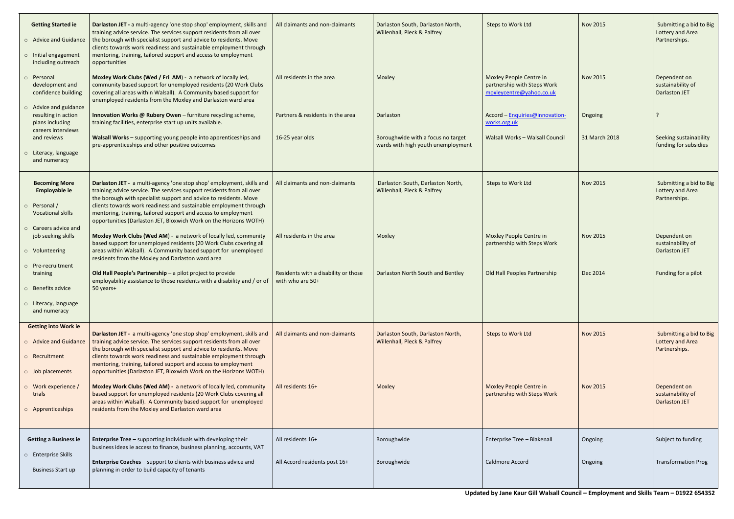| <b>Getting Started ie</b><br>o Advice and Guidance<br>o Initial engagement<br>including outreach | Darlaston JET - a multi-agency 'one stop shop' employment, skills and<br>training advice service. The services support residents from all over<br>the borough with specialist support and advice to residents. Move<br>clients towards work readiness and sustainable employment through<br>mentoring, training, tailored support and access to employment<br>opportunities | All claimants and non-claimants                          | Darlaston South, Darlaston North,<br>Willenhall, Pleck & Palfrey         | Steps to Work Ltd                                                                  | <b>Nov 2015</b> | Submitting a bid to Big<br>Lottery and Area<br>Partnerships. |
|--------------------------------------------------------------------------------------------------|-----------------------------------------------------------------------------------------------------------------------------------------------------------------------------------------------------------------------------------------------------------------------------------------------------------------------------------------------------------------------------|----------------------------------------------------------|--------------------------------------------------------------------------|------------------------------------------------------------------------------------|-----------------|--------------------------------------------------------------|
| o Personal<br>development and<br>confidence building                                             | Moxley Work Clubs (Wed / Fri AM) - a network of locally led,<br>community based support for unemployed residents (20 Work Clubs<br>covering all areas within Walsall). A Community based support for<br>unemployed residents from the Moxley and Darlaston ward area                                                                                                        | All residents in the area                                | Moxley                                                                   | Moxley People Centre in<br>partnership with Steps Work<br>moxleycentre@yahoo.co.uk | <b>Nov 2015</b> | Dependent on<br>sustainability of<br><b>Darlaston JET</b>    |
| o Advice and guidance<br>resulting in action<br>plans including<br>careers interviews            | Innovation Works @ Rubery Owen - furniture recycling scheme,<br>training facilities, enterprise start up units available.                                                                                                                                                                                                                                                   | Partners & residents in the area                         | <b>Darlaston</b>                                                         | Accord - Enquiries@innovation-<br>works.org.uk                                     | Ongoing         |                                                              |
| and reviews<br>o Literacy, language                                                              | Walsall Works - supporting young people into apprenticeships and<br>pre-apprenticeships and other positive outcomes                                                                                                                                                                                                                                                         | 16-25 year olds                                          | Boroughwide with a focus no target<br>wards with high youth unemployment | Walsall Works - Walsall Council                                                    | 31 March 2018   | Seeking sustainability<br>funding for subsidies              |
| and numeracy                                                                                     |                                                                                                                                                                                                                                                                                                                                                                             |                                                          |                                                                          |                                                                                    |                 |                                                              |
| <b>Becoming More</b><br>Employable ie                                                            | Darlaston JET - a multi-agency 'one stop shop' employment, skills and<br>training advice service. The services support residents from all over<br>the borough with specialist support and advice to residents. Move                                                                                                                                                         | All claimants and non-claimants                          | Darlaston South, Darlaston North,<br>Willenhall, Pleck & Palfrey         | Steps to Work Ltd                                                                  | <b>Nov 2015</b> | Submitting a bid to Big<br>Lottery and Area<br>Partnerships. |
| o Personal/<br><b>Vocational skills</b>                                                          | clients towards work readiness and sustainable employment through<br>mentoring, training, tailored support and access to employment<br>opportunities (Darlaston JET, Bloxwich Work on the Horizons WOTH)                                                                                                                                                                    |                                                          |                                                                          |                                                                                    |                 |                                                              |
| o Careers advice and<br>job seeking skills                                                       | Moxley Work Clubs (Wed AM) - a network of locally led, community<br>based support for unemployed residents (20 Work Clubs covering all                                                                                                                                                                                                                                      | All residents in the area                                | Moxley                                                                   | Moxley People Centre in<br>partnership with Steps Work                             | <b>Nov 2015</b> | Dependent on<br>sustainability of                            |
| o Volunteering                                                                                   | areas within Walsall). A Community based support for unemployed<br>residents from the Moxley and Darlaston ward area                                                                                                                                                                                                                                                        |                                                          |                                                                          |                                                                                    |                 | <b>Darlaston JET</b>                                         |
| o Pre-recruitment<br>training<br>o Benefits advice                                               | Old Hall People's Partnership - a pilot project to provide<br>employability assistance to those residents with a disability and / or of<br>50 years+                                                                                                                                                                                                                        | Residents with a disability or those<br>with who are 50+ | Darlaston North South and Bentley                                        | Old Hall Peoples Partnership                                                       | Dec 2014        | Funding for a pilot                                          |
| o Literacy, language<br>and numeracy                                                             |                                                                                                                                                                                                                                                                                                                                                                             |                                                          |                                                                          |                                                                                    |                 |                                                              |
| <b>Getting into Work ie</b>                                                                      |                                                                                                                                                                                                                                                                                                                                                                             |                                                          |                                                                          |                                                                                    |                 |                                                              |
| o Advice and Guidance                                                                            | Darlaston JET - a multi-agency 'one stop shop' employment, skills and<br>training advice service. The services support residents from all over<br>the borough with specialist support and advice to residents. Move                                                                                                                                                         | All claimants and non-claimants                          | Darlaston South, Darlaston North,<br>Willenhall, Pleck & Palfrey         | <b>Steps to Work Ltd</b>                                                           | <b>Nov 2015</b> | Submitting a bid to Big<br>Lottery and Area<br>Partnerships. |
| o Recruitment                                                                                    | clients towards work readiness and sustainable employment through<br>mentoring, training, tailored support and access to employment                                                                                                                                                                                                                                         |                                                          |                                                                          |                                                                                    |                 |                                                              |
| o Job placements                                                                                 | opportunities (Darlaston JET, Bloxwich Work on the Horizons WOTH)                                                                                                                                                                                                                                                                                                           |                                                          |                                                                          |                                                                                    |                 |                                                              |
| $\circ$ Work experience /<br>trials                                                              | Moxley Work Clubs (Wed AM) - a network of locally led, community<br>based support for unemployed residents (20 Work Clubs covering all<br>areas within Walsall). A Community based support for unemployed                                                                                                                                                                   | All residents 16+                                        | Moxley                                                                   | Moxley People Centre in<br>partnership with Steps Work                             | <b>Nov 2015</b> | Dependent on<br>sustainability of<br><b>Darlaston JET</b>    |
| o Apprenticeships                                                                                | residents from the Moxley and Darlaston ward area                                                                                                                                                                                                                                                                                                                           |                                                          |                                                                          |                                                                                    |                 |                                                              |
| <b>Getting a Business ie</b>                                                                     | <b>Enterprise Tree - supporting individuals with developing their</b><br>business ideas ie access to finance, business planning, accounts, VAT                                                                                                                                                                                                                              | All residents 16+                                        | Boroughwide                                                              | Enterprise Tree - Blakenall                                                        | Ongoing         | Subject to funding                                           |
| o Enterprise Skills                                                                              | <b>Enterprise Coaches</b> - support to clients with business advice and                                                                                                                                                                                                                                                                                                     | All Accord residents post 16+                            | Boroughwide                                                              | Caldmore Accord                                                                    | Ongoing         | <b>Transformation Prog</b>                                   |
| <b>Business Start up</b>                                                                         | planning in order to build capacity of tenants                                                                                                                                                                                                                                                                                                                              |                                                          |                                                                          |                                                                                    |                 |                                                              |
|                                                                                                  |                                                                                                                                                                                                                                                                                                                                                                             |                                                          |                                                                          |                                                                                    |                 |                                                              |